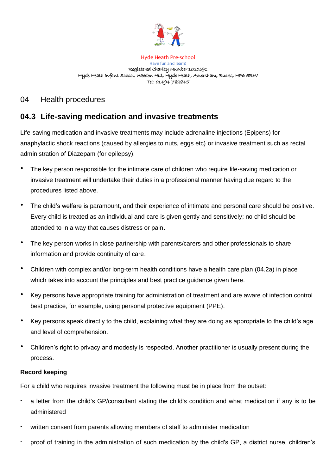

Hyde Heath Pre-school Have fun and learn! Registered Charity Number 1020591 Hyde Heath Infant School, Weedon Hill, Hyde Heath, Amersham, Bucks, HP6 5RW Tel: 01494 782845

## 04 Health procedures

# **04.3 Life-saving medication and invasive treatments**

Life-saving medication and invasive treatments may include adrenaline injections (Epipens) for anaphylactic shock reactions (caused by allergies to nuts, eggs etc) or invasive treatment such as rectal administration of Diazepam (for epilepsy).

- The key person responsible for the intimate care of children who require life-saving medication or invasive treatment will undertake their duties in a professional manner having due regard to the procedures listed above.
- The child's welfare is paramount, and their experience of intimate and personal care should be positive. Every child is treated as an individual and care is given gently and sensitively; no child should be attended to in a way that causes distress or pain.
- The key person works in close partnership with parents/carers and other professionals to share information and provide continuity of care.
- Children with complex and/or long-term health conditions have a health care plan (04.2a) in place which takes into account the principles and best practice guidance given here.
- Key persons have appropriate training for administration of treatment and are aware of infection control best practice, for example, using personal protective equipment (PPE).
- Key persons speak directly to the child, explaining what they are doing as appropriate to the child's age and level of comprehension.
- Children's right to privacy and modesty is respected. Another practitioner is usually present during the process.

## **Record keeping**

For a child who requires invasive treatment the following must be in place from the outset:

- a letter from the child's GP/consultant stating the child's condition and what medication if any is to be administered
- written consent from parents allowing members of staff to administer medication
- proof of training in the administration of such medication by the child's GP, a district nurse, children's